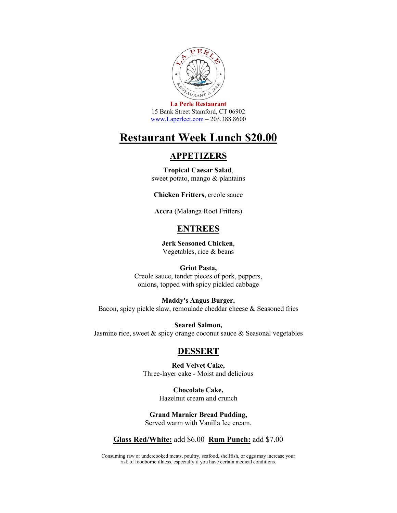

**La Perle Restaurant**  15 Bank Street Stamford, CT 06902 [www.Laperlect.com](http://www.laperlect.com/) – 203.388.8600

## **Restaurant Week Lunch \$20.00**

### **APPETIZERS**

**Tropical Caesar Salad**, sweet potato, mango & plantains

**Chicken Fritters**, creole sauce

**Accra** (Malanga Root Fritters)

## **ENTREES**

**Jerk Seasoned Chicken**, Vegetables, rice & beans

#### **Griot Pasta,**

Creole sauce, tender pieces of pork, peppers, onions, topped with spicy pickled cabbage

**Maddy's Angus Burger,** Bacon, spicy pickle slaw, remoulade cheddar cheese & Seasoned fries

**Seared Salmon,**  Jasmine rice, sweet & spicy orange coconut sauce & Seasonal vegetables

#### **DESSERT**

**Red Velvet Cake,**  Three-layer cake - Moist and delicious

> **Chocolate Cake,**  Hazelnut cream and crunch

**Grand Marnier Bread Pudding,**  Served warm with Vanilla Ice cream.

#### **Glass Red/White:** add \$6.00 **Rum Punch:** add \$7.00

Consuming raw or undercooked meats, poultry, seafood, shellfish, or eggs may increase your risk of foodborne illness, especially if you have certain medical conditions.